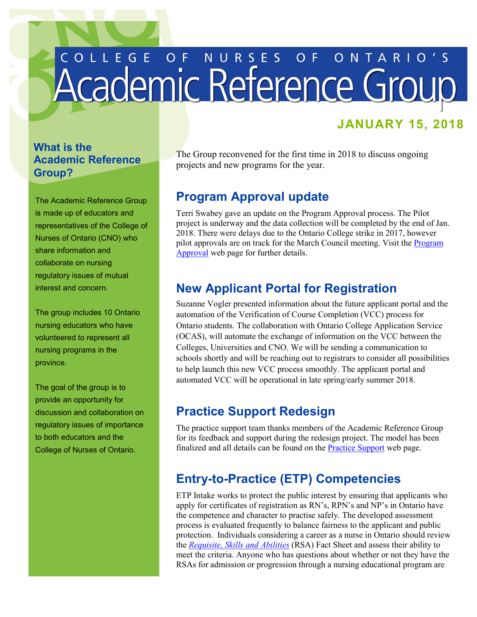# L L E G E O F N U R S E S O F O N T A <u>Academic Reference Group</u>

## **JANUARY 15, 2018**

#### **What is the Academic Reference Group?**

The Academic Reference Group is made up of educators and representatives of the College of Nurses of Ontario (CNO) who share information and collaborate on nursing regulatory issues of mutual interest and concern.

The group includes 10 Ontario nursing educators who have volunteered to represent all nursing programs in the province.

 provide an opportunity for The goal of the group is to discussion and collaboration on regulatory issues of importance to both educators and the College of Nurses of Ontario.

 projects and new programs for the year. The Group reconvened for the first time in 2018 to discuss ongoing

#### **Program Approval update**

Terri Swabey gave an update on the Program Approval process. The Pilot project is underway and the data collection will be completed by the end of Jan. 2018. There were delays due to the Ontario College strike in 2017, however pilot approvals are on track for the March Council meeting. Visit the [Program](http://cno.org/en/become-a-nurse/nursing-education-program-approval/)  [Approval](http://cno.org/en/become-a-nurse/nursing-education-program-approval/) web page for further details.

## **New Applicant Portal for Registration**

Suzanne Vogler presented information about the future applicant portal and the automation of the Verification of Course Completion (VCC) process for Ontario students. The collaboration with Ontario College Application Service (OCAS), will automate the exchange of information on the VCC between the Colleges, Universities and CNO. We will be sending a communication to schools shortly and will be reaching out to registrars to consider all possibilities to help launch this new VCC process smoothly. The applicant portal and automated VCC will be operational in late spring/early summer 2018.

## **Practice Support Redesign**

The practice support team thanks members of the Academic Reference Group for its feedback and support during the redesign project. The model has been finalized and all details can be found on the [Practice Support](http://cno.org/en/learn-about-standards-guidelines/Practice-Support/) web page.

## **Entry-to-Practice (ETP) Competencies**

ETP Intake works to protect the public interest by ensuring that applicants who apply for certificates of registration as RN's, RPN's and NP's in Ontario have the competence and character to practise safely. The developed assessment process is evaluated frequently to balance fairness to the applicant and public protection. Individuals considering a career as a nurse in Ontario should review the *[Requisite, Skills and Abilities](http://cno.org/globalassets/docs/reg/41078-skillabilities-4pager-final.pdf)* (RSA) Fact Sheet and assess their ability to meet the criteria. Anyone who has questions about whether or not they have the RSAs for admission or progression through a nursing educational program are